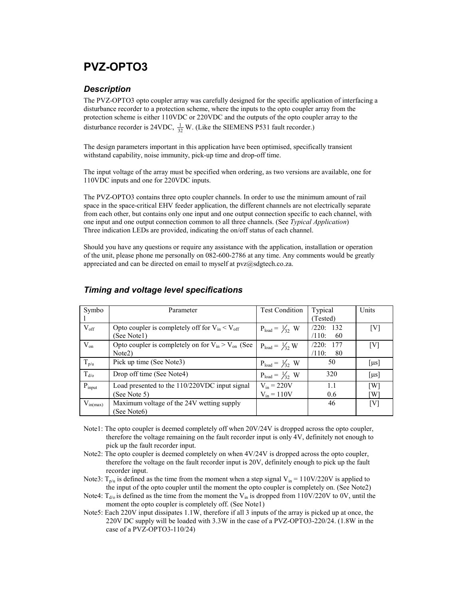# PVZ-OPTO3

## **Description**

The PVZ-OPTO3 opto coupler array was carefully designed for the specific application of interfacing a disturbance recorder to a protection scheme, where the inputs to the opto coupler array from the protection scheme is either 110VDC or 220VDC and the outputs of the opto coupler array to the disturbance recorder is 24VDC,  $\frac{1}{32}$  W. (Like the SIEMENS P531 fault recorder.)

The design parameters important in this application have been optimised, specifically transient withstand capability, noise immunity, pick-up time and drop-off time.

The input voltage of the array must be specified when ordering, as two versions are available, one for 110VDC inputs and one for 220VDC inputs.

The PVZ-OPTO3 contains three opto coupler channels. In order to use the minimum amount of rail space in the space-critical EHV feeder application, the different channels are not electrically separate from each other, but contains only one input and one output connection specific to each channel, with one input and one output connection common to all three channels. (See Typical Application) Three indication LEDs are provided, indicating the on/off status of each channel.

Should you have any questions or require any assistance with the application, installation or operation of the unit, please phone me personally on 082-600-2786 at any time. Any comments would be greatly appreciated and can be directed on email to myself at  $pvz@sdgtech.co.za$ .

| Symbo         | Parameter                                                | <b>Test Condition</b>     | Typical      | Units             |
|---------------|----------------------------------------------------------|---------------------------|--------------|-------------------|
|               |                                                          |                           | (Tested)     |                   |
| $V_{\rm off}$ | Opto coupler is completely off for $V_{in} < V_{off}$    | $P_{load} = \frac{1}{2}W$ | /220:132     | [V]               |
|               | (See Notel)                                              |                           | /110:<br>60  |                   |
| $V_{on}$      | Opto coupler is completely on for $V_{in} > V_{on}$ (See | $P_{load} = \frac{1}{2}W$ | /220:<br>177 | [V]               |
|               | Note <sub>2</sub> )                                      |                           | /110:<br>80  |                   |
| $T_{p/u}$     | Pick up time (See Note3)                                 | $P_{load} = \frac{1}{2}W$ | 50           | $[\mu s]$         |
| $T_{d/o}$     | Drop off time (See Note4)                                | $P_{load} = \frac{1}{2}W$ | 320          | $[\mu s]$         |
| $P_{input}$   | Load presented to the 110/220VDC input signal            | $V_{in} = 220V$           | 1.1          | $\lceil W \rceil$ |
|               | (See Note 5)                                             | $V_{in} = 110V$           | 0.6          | [W]               |
| $V_{in(max)}$ | Maximum voltage of the 24V wetting supply                |                           | 46           | [V]               |
|               | (See Note6)                                              |                           |              |                   |

## Timing and voltage level specifications

- Note1: The opto coupler is deemed completely off when 20V/24V is dropped across the opto coupler, therefore the voltage remaining on the fault recorder input is only 4V, definitely not enough to pick up the fault recorder input.
- Note2: The opto coupler is deemed completely on when  $4V/24V$  is dropped across the opto coupler, therefore the voltage on the fault recorder input is 20V, definitely enough to pick up the fault recorder input.
- Note3:  $T_{p/u}$  is defined as the time from the moment when a step signal  $V_{in} = 110V/220V$  is applied to the input of the opto coupler until the moment the opto coupler is completely on. (See Note2)
- Note4:  $T_{d/0}$  is defined as the time from the moment the V<sub>in</sub> is dropped from 110V/220V to 0V, until the moment the opto coupler is completely off. (See Note1)
- Note5: Each 220V input dissipates 1.1W, therefore if all 3 inputs of the array is picked up at once, the 220V DC supply will be loaded with 3.3W in the case of a PVZ-OPTO3-220/24. (1.8W in the case of a PVZ-OPTO3-110/24)